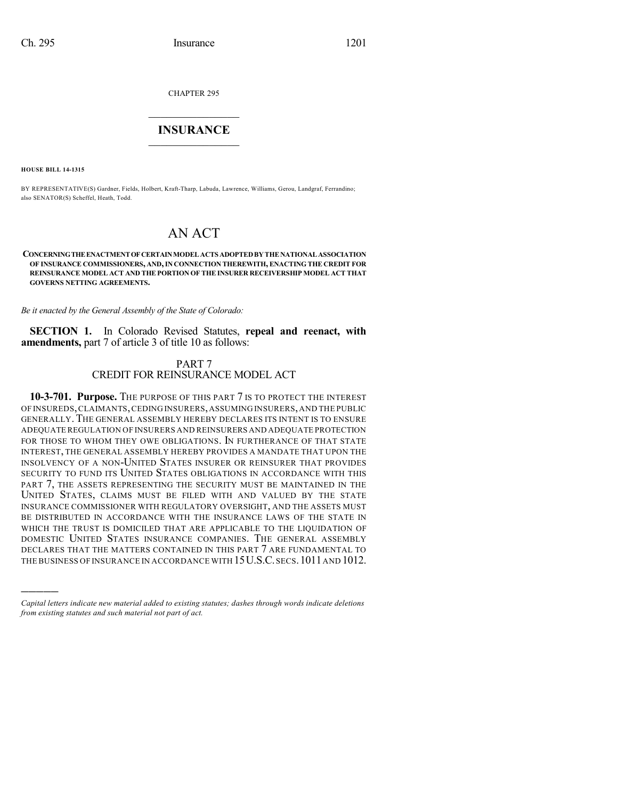CHAPTER 295

## $\mathcal{L}_\text{max}$  . The set of the set of the set of the set of the set of the set of the set of the set of the set of the set of the set of the set of the set of the set of the set of the set of the set of the set of the set **INSURANCE**  $\frac{1}{2}$  ,  $\frac{1}{2}$  ,  $\frac{1}{2}$  ,  $\frac{1}{2}$  ,  $\frac{1}{2}$  ,  $\frac{1}{2}$  ,  $\frac{1}{2}$

**HOUSE BILL 14-1315**

)))))

BY REPRESENTATIVE(S) Gardner, Fields, Holbert, Kraft-Tharp, Labuda, Lawrence, Williams, Gerou, Landgraf, Ferrandino; also SENATOR(S) Scheffel, Heath, Todd.

# AN ACT

**CONCERNINGTHEENACTMENTOFCERTAINMODELACTS ADOPTEDBYTHENATIONALASSOCIATION OF INSURANCE COMMISSIONERS, AND,IN CONNECTION THEREWITH, ENACTING THE CREDIT FOR REINSURANCE MODEL ACT AND THEPORTION OF THE INSURER RECEIVERSHIP MODEL ACT THAT GOVERNS NETTING AGREEMENTS.**

*Be it enacted by the General Assembly of the State of Colorado:*

**SECTION 1.** In Colorado Revised Statutes, **repeal and reenact, with amendments,** part 7 of article 3 of title 10 as follows:

#### PART 7 CREDIT FOR REINSURANCE MODEL ACT

**10-3-701. Purpose.** THE PURPOSE OF THIS PART 7 IS TO PROTECT THE INTEREST OF INSUREDS,CLAIMANTS,CEDING INSURERS,ASSUMING INSURERS, AND THE PUBLIC GENERALLY. THE GENERAL ASSEMBLY HEREBY DECLARES ITS INTENT IS TO ENSURE ADEQUATE REGULATION OF INSURERS AND REINSURERS AND ADEQUATE PROTECTION FOR THOSE TO WHOM THEY OWE OBLIGATIONS. IN FURTHERANCE OF THAT STATE INTEREST, THE GENERAL ASSEMBLY HEREBY PROVIDES A MANDATE THAT UPON THE INSOLVENCY OF A NON-UNITED STATES INSURER OR REINSURER THAT PROVIDES SECURITY TO FUND ITS UNITED STATES OBLIGATIONS IN ACCORDANCE WITH THIS PART 7, THE ASSETS REPRESENTING THE SECURITY MUST BE MAINTAINED IN THE UNITED STATES, CLAIMS MUST BE FILED WITH AND VALUED BY THE STATE INSURANCE COMMISSIONER WITH REGULATORY OVERSIGHT, AND THE ASSETS MUST BE DISTRIBUTED IN ACCORDANCE WITH THE INSURANCE LAWS OF THE STATE IN WHICH THE TRUST IS DOMICILED THAT ARE APPLICABLE TO THE LIQUIDATION OF DOMESTIC UNITED STATES INSURANCE COMPANIES. THE GENERAL ASSEMBLY DECLARES THAT THE MATTERS CONTAINED IN THIS PART 7 ARE FUNDAMENTAL TO THE BUSINESS OF INSURANCE IN ACCORDANCE WITH 15 U.S.C. SECS. 1011 AND 1012.

*Capital letters indicate new material added to existing statutes; dashes through words indicate deletions from existing statutes and such material not part of act.*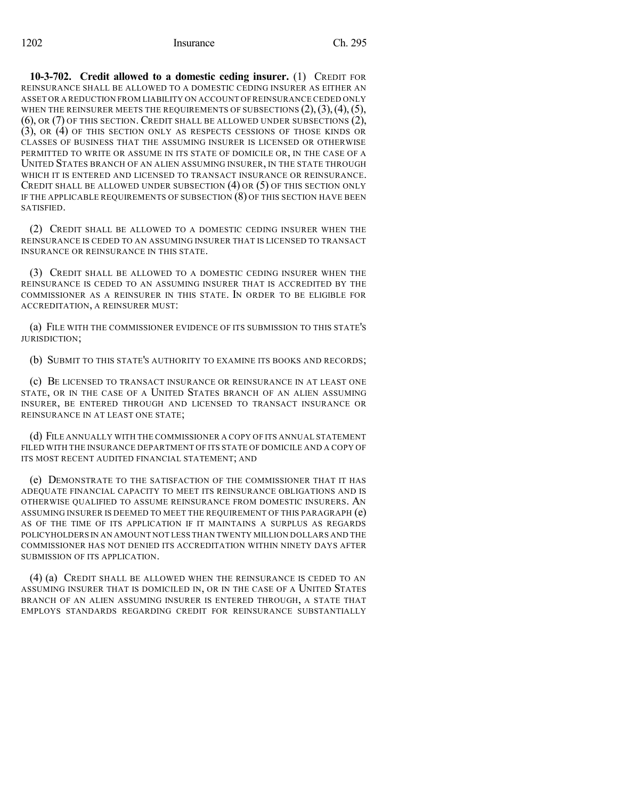**10-3-702. Credit allowed to a domestic ceding insurer.** (1) CREDIT FOR REINSURANCE SHALL BE ALLOWED TO A DOMESTIC CEDING INSURER AS EITHER AN ASSET OR A REDUCTION FROM LIABILITY ON ACCOUNT OF REINSURANCE CEDED ONLY WHEN THE REINSURER MEETS THE REQUIREMENTS OF SUBSECTIONS  $(2), (3), (4), (5),$ (6), OR (7) OF THIS SECTION. CREDIT SHALL BE ALLOWED UNDER SUBSECTIONS (2), (3), OR (4) OF THIS SECTION ONLY AS RESPECTS CESSIONS OF THOSE KINDS OR CLASSES OF BUSINESS THAT THE ASSUMING INSURER IS LICENSED OR OTHERWISE PERMITTED TO WRITE OR ASSUME IN ITS STATE OF DOMICILE OR, IN THE CASE OF A UNITED STATES BRANCH OF AN ALIEN ASSUMING INSURER, IN THE STATE THROUGH WHICH IT IS ENTERED AND LICENSED TO TRANSACT INSURANCE OR REINSURANCE. CREDIT SHALL BE ALLOWED UNDER SUBSECTION (4) OR (5) OF THIS SECTION ONLY IF THE APPLICABLE REQUIREMENTS OF SUBSECTION (8) OF THIS SECTION HAVE BEEN SATISFIED.

(2) CREDIT SHALL BE ALLOWED TO A DOMESTIC CEDING INSURER WHEN THE REINSURANCE IS CEDED TO AN ASSUMING INSURER THAT IS LICENSED TO TRANSACT INSURANCE OR REINSURANCE IN THIS STATE.

(3) CREDIT SHALL BE ALLOWED TO A DOMESTIC CEDING INSURER WHEN THE REINSURANCE IS CEDED TO AN ASSUMING INSURER THAT IS ACCREDITED BY THE COMMISSIONER AS A REINSURER IN THIS STATE. IN ORDER TO BE ELIGIBLE FOR ACCREDITATION, A REINSURER MUST:

(a) FILE WITH THE COMMISSIONER EVIDENCE OF ITS SUBMISSION TO THIS STATE'S JURISDICTION;

(b) SUBMIT TO THIS STATE'S AUTHORITY TO EXAMINE ITS BOOKS AND RECORDS;

(c) BE LICENSED TO TRANSACT INSURANCE OR REINSURANCE IN AT LEAST ONE STATE, OR IN THE CASE OF A UNITED STATES BRANCH OF AN ALIEN ASSUMING INSURER, BE ENTERED THROUGH AND LICENSED TO TRANSACT INSURANCE OR REINSURANCE IN AT LEAST ONE STATE;

(d) FILE ANNUALLY WITH THE COMMISSIONER A COPY OF ITS ANNUAL STATEMENT FILED WITH THE INSURANCE DEPARTMENT OF ITS STATE OF DOMICILE AND A COPY OF ITS MOST RECENT AUDITED FINANCIAL STATEMENT; AND

(e) DEMONSTRATE TO THE SATISFACTION OF THE COMMISSIONER THAT IT HAS ADEQUATE FINANCIAL CAPACITY TO MEET ITS REINSURANCE OBLIGATIONS AND IS OTHERWISE QUALIFIED TO ASSUME REINSURANCE FROM DOMESTIC INSURERS. AN ASSUMING INSURER IS DEEMED TO MEET THE REQUIREMENT OF THIS PARAGRAPH (e) AS OF THE TIME OF ITS APPLICATION IF IT MAINTAINS A SURPLUS AS REGARDS POLICYHOLDERS IN AN AMOUNT NOT LESS THAN TWENTY MILLION DOLLARS AND THE COMMISSIONER HAS NOT DENIED ITS ACCREDITATION WITHIN NINETY DAYS AFTER SUBMISSION OF ITS APPLICATION.

(4) (a) CREDIT SHALL BE ALLOWED WHEN THE REINSURANCE IS CEDED TO AN ASSUMING INSURER THAT IS DOMICILED IN, OR IN THE CASE OF A UNITED STATES BRANCH OF AN ALIEN ASSUMING INSURER IS ENTERED THROUGH, A STATE THAT EMPLOYS STANDARDS REGARDING CREDIT FOR REINSURANCE SUBSTANTIALLY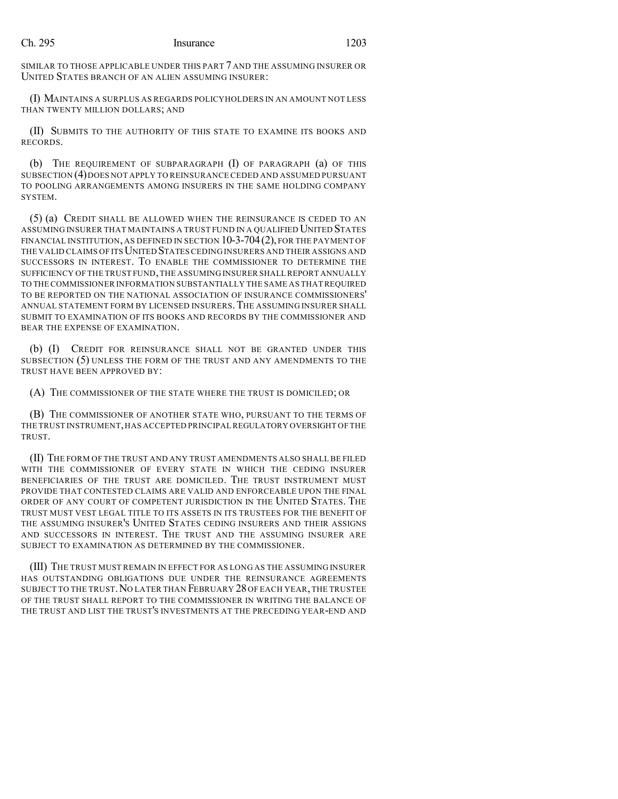SIMILAR TO THOSE APPLICABLE UNDER THIS PART 7 AND THE ASSUMING INSURER OR UNITED STATES BRANCH OF AN ALIEN ASSUMING INSURER:

(I) MAINTAINS A SURPLUS AS REGARDS POLICYHOLDERS IN AN AMOUNT NOT LESS THAN TWENTY MILLION DOLLARS; AND

(II) SUBMITS TO THE AUTHORITY OF THIS STATE TO EXAMINE ITS BOOKS AND RECORDS.

(b) THE REQUIREMENT OF SUBPARAGRAPH (I) OF PARAGRAPH (a) OF THIS SUBSECTION (4)DOES NOT APPLY TO REINSURANCE CEDED AND ASSUMED PURSUANT TO POOLING ARRANGEMENTS AMONG INSURERS IN THE SAME HOLDING COMPANY SYSTEM.

(5) (a) CREDIT SHALL BE ALLOWED WHEN THE REINSURANCE IS CEDED TO AN ASSUMING INSURER THAT MAINTAINS A TRUST FUND IN A QUALIFIED UNITED STATES FINANCIAL INSTITUTION, AS DEFINED IN SECTION 10-3-704(2), FOR THE PAYMENT OF THE VALID CLAIMS OF ITS UNITED STATES CEDING INSURERS AND THEIR ASSIGNS AND SUCCESSORS IN INTEREST. TO ENABLE THE COMMISSIONER TO DETERMINE THE SUFFICIENCY OF THE TRUST FUND, THE ASSUMING INSURER SHALL REPORT ANNUALLY TO THECOMMISSIONER INFORMATION SUBSTANTIALLY THE SAME AS THAT REQUIRED TO BE REPORTED ON THE NATIONAL ASSOCIATION OF INSURANCE COMMISSIONERS' ANNUAL STATEMENT FORM BY LICENSED INSURERS.THE ASSUMING INSURER SHALL SUBMIT TO EXAMINATION OF ITS BOOKS AND RECORDS BY THE COMMISSIONER AND BEAR THE EXPENSE OF EXAMINATION.

(b) (I) CREDIT FOR REINSURANCE SHALL NOT BE GRANTED UNDER THIS SUBSECTION (5) UNLESS THE FORM OF THE TRUST AND ANY AMENDMENTS TO THE TRUST HAVE BEEN APPROVED BY:

(A) THE COMMISSIONER OF THE STATE WHERE THE TRUST IS DOMICILED; OR

(B) THE COMMISSIONER OF ANOTHER STATE WHO, PURSUANT TO THE TERMS OF THE TRUST INSTRUMENT,HAS ACCEPTED PRINCIPAL REGULATORY OVERSIGHT OF THE TRUST.

(II) THE FORM OF THE TRUST AND ANY TRUST AMENDMENTS ALSO SHALL BE FILED WITH THE COMMISSIONER OF EVERY STATE IN WHICH THE CEDING INSURER BENEFICIARIES OF THE TRUST ARE DOMICILED. THE TRUST INSTRUMENT MUST PROVIDE THAT CONTESTED CLAIMS ARE VALID AND ENFORCEABLE UPON THE FINAL ORDER OF ANY COURT OF COMPETENT JURISDICTION IN THE UNITED STATES. THE TRUST MUST VEST LEGAL TITLE TO ITS ASSETS IN ITS TRUSTEES FOR THE BENEFIT OF THE ASSUMING INSURER'S UNITED STATES CEDING INSURERS AND THEIR ASSIGNS AND SUCCESSORS IN INTEREST. THE TRUST AND THE ASSUMING INSURER ARE SUBJECT TO EXAMINATION AS DETERMINED BY THE COMMISSIONER.

(III) THE TRUST MUST REMAIN IN EFFECT FOR AS LONG AS THE ASSUMING INSURER HAS OUTSTANDING OBLIGATIONS DUE UNDER THE REINSURANCE AGREEMENTS SUBJECT TO THE TRUST.NO LATER THAN FEBRUARY 28OF EACH YEAR,THE TRUSTEE OF THE TRUST SHALL REPORT TO THE COMMISSIONER IN WRITING THE BALANCE OF THE TRUST AND LIST THE TRUST'S INVESTMENTS AT THE PRECEDING YEAR-END AND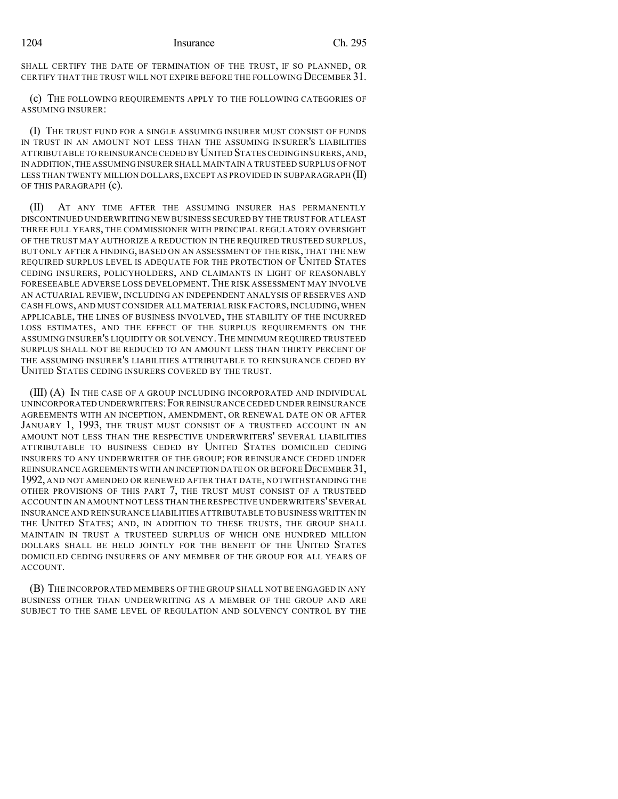SHALL CERTIFY THE DATE OF TERMINATION OF THE TRUST, IF SO PLANNED, OR CERTIFY THAT THE TRUST WILL NOT EXPIRE BEFORE THE FOLLOWING DECEMBER 31.

(c) THE FOLLOWING REQUIREMENTS APPLY TO THE FOLLOWING CATEGORIES OF ASSUMING INSURER:

(I) THE TRUST FUND FOR A SINGLE ASSUMING INSURER MUST CONSIST OF FUNDS IN TRUST IN AN AMOUNT NOT LESS THAN THE ASSUMING INSURER'S LIABILITIES ATTRIBUTABLE TO REINSURANCE CEDED BY UNITED STATES CEDING INSURERS,AND, IN ADDITION,THE ASSUMING INSURER SHALL MAINTAIN A TRUSTEED SURPLUS OF NOT LESS THAN TWENTY MILLION DOLLARS,EXCEPT AS PROVIDED IN SUBPARAGRAPH (II) OF THIS PARAGRAPH (c).

(II) AT ANY TIME AFTER THE ASSUMING INSURER HAS PERMANENTLY DISCONTINUED UNDERWRITING NEW BUSINESS SECURED BY THE TRUST FOR AT LEAST THREE FULL YEARS, THE COMMISSIONER WITH PRINCIPAL REGULATORY OVERSIGHT OF THE TRUST MAY AUTHORIZE A REDUCTION IN THE REQUIRED TRUSTEED SURPLUS, BUT ONLY AFTER A FINDING, BASED ON AN ASSESSMENT OF THE RISK, THAT THE NEW REQUIRED SURPLUS LEVEL IS ADEQUATE FOR THE PROTECTION OF UNITED STATES CEDING INSURERS, POLICYHOLDERS, AND CLAIMANTS IN LIGHT OF REASONABLY FORESEEABLE ADVERSE LOSS DEVELOPMENT. THE RISK ASSESSMENT MAY INVOLVE AN ACTUARIAL REVIEW, INCLUDING AN INDEPENDENT ANALYSIS OF RESERVES AND CASH FLOWS, AND MUST CONSIDER ALL MATERIAL RISK FACTORS,INCLUDING,WHEN APPLICABLE, THE LINES OF BUSINESS INVOLVED, THE STABILITY OF THE INCURRED LOSS ESTIMATES, AND THE EFFECT OF THE SURPLUS REQUIREMENTS ON THE ASSUMING INSURER'S LIQUIDITY OR SOLVENCY.THE MINIMUM REQUIRED TRUSTEED SURPLUS SHALL NOT BE REDUCED TO AN AMOUNT LESS THAN THIRTY PERCENT OF THE ASSUMING INSURER'S LIABILITIES ATTRIBUTABLE TO REINSURANCE CEDED BY UNITED STATES CEDING INSURERS COVERED BY THE TRUST.

(III) (A) IN THE CASE OF A GROUP INCLUDING INCORPORATED AND INDIVIDUAL UNINCORPORATED UNDERWRITERS:FOR REINSURANCE CEDED UNDER REINSURANCE AGREEMENTS WITH AN INCEPTION, AMENDMENT, OR RENEWAL DATE ON OR AFTER JANUARY 1, 1993, THE TRUST MUST CONSIST OF A TRUSTEED ACCOUNT IN AN AMOUNT NOT LESS THAN THE RESPECTIVE UNDERWRITERS' SEVERAL LIABILITIES ATTRIBUTABLE TO BUSINESS CEDED BY UNITED STATES DOMICILED CEDING INSURERS TO ANY UNDERWRITER OF THE GROUP; FOR REINSURANCE CEDED UNDER REINSURANCE AGREEMENTS WITH AN INCEPTION DATE ON OR BEFORE DECEMBER 31. 1992, AND NOT AMENDED OR RENEWED AFTER THAT DATE, NOTWITHSTANDING THE OTHER PROVISIONS OF THIS PART 7, THE TRUST MUST CONSIST OF A TRUSTEED ACCOUNT IN AN AMOUNT NOT LESS THAN THE RESPECTIVE UNDERWRITERS'SEVERAL INSURANCE AND REINSURANCE LIABILITIES ATTRIBUTABLE TO BUSINESS WRITTEN IN THE UNITED STATES; AND, IN ADDITION TO THESE TRUSTS, THE GROUP SHALL MAINTAIN IN TRUST A TRUSTEED SURPLUS OF WHICH ONE HUNDRED MILLION DOLLARS SHALL BE HELD JOINTLY FOR THE BENEFIT OF THE UNITED STATES DOMICILED CEDING INSURERS OF ANY MEMBER OF THE GROUP FOR ALL YEARS OF ACCOUNT.

(B) THE INCORPORATED MEMBERS OF THE GROUP SHALL NOT BE ENGAGED IN ANY BUSINESS OTHER THAN UNDERWRITING AS A MEMBER OF THE GROUP AND ARE SUBJECT TO THE SAME LEVEL OF REGULATION AND SOLVENCY CONTROL BY THE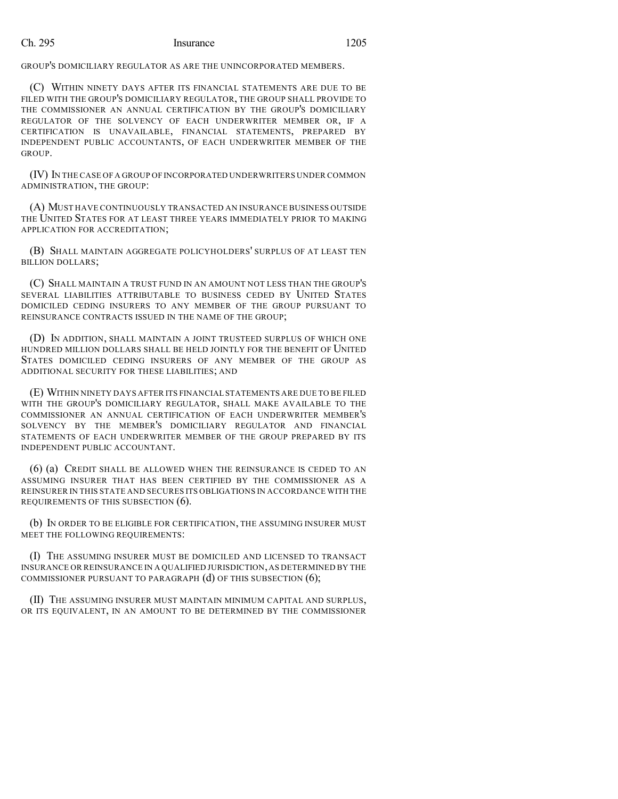GROUP'S DOMICILIARY REGULATOR AS ARE THE UNINCORPORATED MEMBERS.

(C) WITHIN NINETY DAYS AFTER ITS FINANCIAL STATEMENTS ARE DUE TO BE FILED WITH THE GROUP'S DOMICILIARY REGULATOR, THE GROUP SHALL PROVIDE TO THE COMMISSIONER AN ANNUAL CERTIFICATION BY THE GROUP'S DOMICILIARY REGULATOR OF THE SOLVENCY OF EACH UNDERWRITER MEMBER OR, IF A CERTIFICATION IS UNAVAILABLE, FINANCIAL STATEMENTS, PREPARED BY INDEPENDENT PUBLIC ACCOUNTANTS, OF EACH UNDERWRITER MEMBER OF THE GROUP.

(IV) IN THE CASE OF A GROUP OF INCORPORATED UNDERWRITERS UNDER COMMON ADMINISTRATION, THE GROUP:

(A) MUST HAVE CONTINUOUSLY TRANSACTED AN INSURANCE BUSINESS OUTSIDE THE UNITED STATES FOR AT LEAST THREE YEARS IMMEDIATELY PRIOR TO MAKING APPLICATION FOR ACCREDITATION;

(B) SHALL MAINTAIN AGGREGATE POLICYHOLDERS' SURPLUS OF AT LEAST TEN BILLION DOLLARS;

(C) SHALL MAINTAIN A TRUST FUND IN AN AMOUNT NOT LESS THAN THE GROUP'S SEVERAL LIABILITIES ATTRIBUTABLE TO BUSINESS CEDED BY UNITED STATES DOMICILED CEDING INSURERS TO ANY MEMBER OF THE GROUP PURSUANT TO REINSURANCE CONTRACTS ISSUED IN THE NAME OF THE GROUP;

(D) IN ADDITION, SHALL MAINTAIN A JOINT TRUSTEED SURPLUS OF WHICH ONE HUNDRED MILLION DOLLARS SHALL BE HELD JOINTLY FOR THE BENEFIT OF UNITED STATES DOMICILED CEDING INSURERS OF ANY MEMBER OF THE GROUP AS ADDITIONAL SECURITY FOR THESE LIABILITIES; AND

(E) WITHIN NINETY DAYS AFTER ITS FINANCIAL STATEMENTS ARE DUE TO BE FILED WITH THE GROUP'S DOMICILIARY REGULATOR, SHALL MAKE AVAILABLE TO THE COMMISSIONER AN ANNUAL CERTIFICATION OF EACH UNDERWRITER MEMBER'S SOLVENCY BY THE MEMBER'S DOMICILIARY REGULATOR AND FINANCIAL STATEMENTS OF EACH UNDERWRITER MEMBER OF THE GROUP PREPARED BY ITS INDEPENDENT PUBLIC ACCOUNTANT.

(6) (a) CREDIT SHALL BE ALLOWED WHEN THE REINSURANCE IS CEDED TO AN ASSUMING INSURER THAT HAS BEEN CERTIFIED BY THE COMMISSIONER AS A REINSURER IN THIS STATE AND SECURES ITS OBLIGATIONS IN ACCORDANCE WITH THE REQUIREMENTS OF THIS SUBSECTION (6).

(b) IN ORDER TO BE ELIGIBLE FOR CERTIFICATION, THE ASSUMING INSURER MUST MEET THE FOLLOWING REQUIREMENTS:

(I) THE ASSUMING INSURER MUST BE DOMICILED AND LICENSED TO TRANSACT INSURANCE OR REINSURANCE IN A QUALIFIED JURISDICTION,AS DETERMINED BY THE COMMISSIONER PURSUANT TO PARAGRAPH  $(d)$  OF THIS SUBSECTION  $(6)$ ;

(II) THE ASSUMING INSURER MUST MAINTAIN MINIMUM CAPITAL AND SURPLUS, OR ITS EQUIVALENT, IN AN AMOUNT TO BE DETERMINED BY THE COMMISSIONER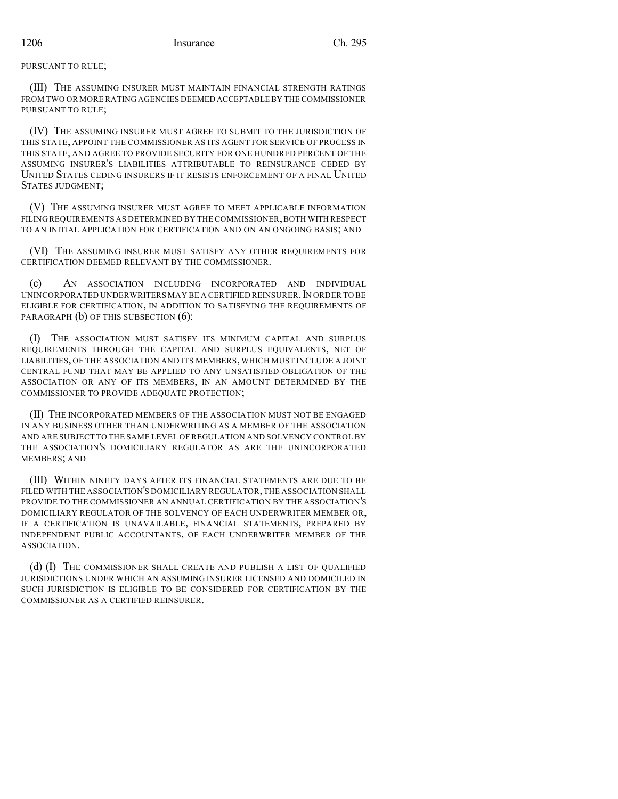(III) THE ASSUMING INSURER MUST MAINTAIN FINANCIAL STRENGTH RATINGS FROM TWO OR MORE RATING AGENCIES DEEMED ACCEPTABLE BY THE COMMISSIONER PURSUANT TO RULE;

(IV) THE ASSUMING INSURER MUST AGREE TO SUBMIT TO THE JURISDICTION OF THIS STATE, APPOINT THE COMMISSIONER AS ITS AGENT FOR SERVICE OF PROCESS IN THIS STATE, AND AGREE TO PROVIDE SECURITY FOR ONE HUNDRED PERCENT OF THE ASSUMING INSURER'S LIABILITIES ATTRIBUTABLE TO REINSURANCE CEDED BY UNITED STATES CEDING INSURERS IF IT RESISTS ENFORCEMENT OF A FINAL UNITED STATES JUDGMENT;

(V) THE ASSUMING INSURER MUST AGREE TO MEET APPLICABLE INFORMATION FILING REQUIREMENTS AS DETERMINED BY THE COMMISSIONER,BOTH WITH RESPECT TO AN INITIAL APPLICATION FOR CERTIFICATION AND ON AN ONGOING BASIS; AND

(VI) THE ASSUMING INSURER MUST SATISFY ANY OTHER REQUIREMENTS FOR CERTIFICATION DEEMED RELEVANT BY THE COMMISSIONER.

(c) AN ASSOCIATION INCLUDING INCORPORATED AND INDIVIDUAL UNINCORPORATED UNDERWRITERS MAY BE A CERTIFIED REINSURER.IN ORDER TO BE ELIGIBLE FOR CERTIFICATION, IN ADDITION TO SATISFYING THE REQUIREMENTS OF PARAGRAPH (b) OF THIS SUBSECTION (6):

(I) THE ASSOCIATION MUST SATISFY ITS MINIMUM CAPITAL AND SURPLUS REQUIREMENTS THROUGH THE CAPITAL AND SURPLUS EQUIVALENTS, NET OF LIABILITIES, OF THE ASSOCIATION AND ITS MEMBERS, WHICH MUST INCLUDE A JOINT CENTRAL FUND THAT MAY BE APPLIED TO ANY UNSATISFIED OBLIGATION OF THE ASSOCIATION OR ANY OF ITS MEMBERS, IN AN AMOUNT DETERMINED BY THE COMMISSIONER TO PROVIDE ADEQUATE PROTECTION;

(II) THE INCORPORATED MEMBERS OF THE ASSOCIATION MUST NOT BE ENGAGED IN ANY BUSINESS OTHER THAN UNDERWRITING AS A MEMBER OF THE ASSOCIATION AND ARE SUBJECT TO THE SAME LEVEL OF REGULATION AND SOLVENCY CONTROL BY THE ASSOCIATION'S DOMICILIARY REGULATOR AS ARE THE UNINCORPORATED MEMBERS; AND

(III) WITHIN NINETY DAYS AFTER ITS FINANCIAL STATEMENTS ARE DUE TO BE FILED WITH THE ASSOCIATION'S DOMICILIARY REGULATOR,THE ASSOCIATION SHALL PROVIDE TO THE COMMISSIONER AN ANNUAL CERTIFICATION BY THE ASSOCIATION'S DOMICILIARY REGULATOR OF THE SOLVENCY OF EACH UNDERWRITER MEMBER OR, IF A CERTIFICATION IS UNAVAILABLE, FINANCIAL STATEMENTS, PREPARED BY INDEPENDENT PUBLIC ACCOUNTANTS, OF EACH UNDERWRITER MEMBER OF THE ASSOCIATION.

(d) (I) THE COMMISSIONER SHALL CREATE AND PUBLISH A LIST OF QUALIFIED JURISDICTIONS UNDER WHICH AN ASSUMING INSURER LICENSED AND DOMICILED IN SUCH JURISDICTION IS ELIGIBLE TO BE CONSIDERED FOR CERTIFICATION BY THE COMMISSIONER AS A CERTIFIED REINSURER.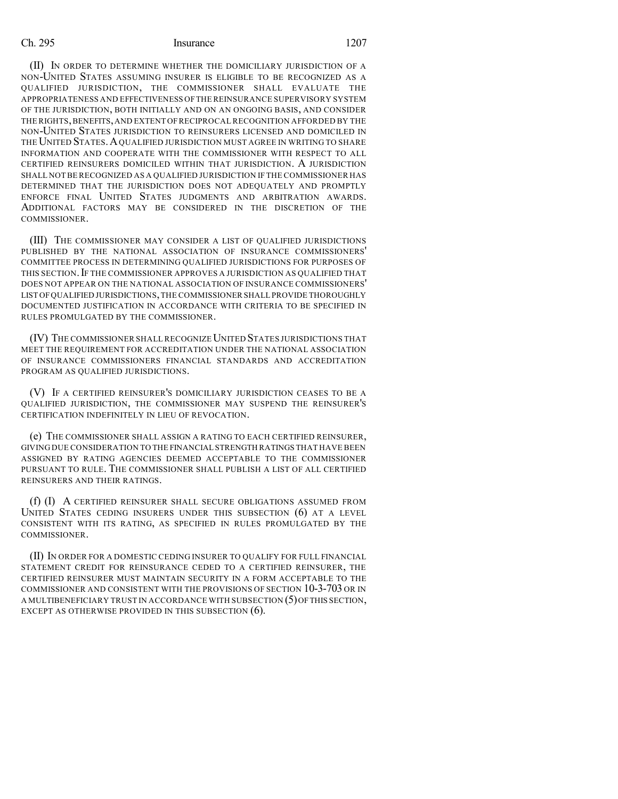(II) IN ORDER TO DETERMINE WHETHER THE DOMICILIARY JURISDICTION OF A NON-UNITED STATES ASSUMING INSURER IS ELIGIBLE TO BE RECOGNIZED AS A QUALIFIED JURISDICTION, THE COMMISSIONER SHALL EVALUATE THE APPROPRIATENESS AND EFFECTIVENESS OFTHE REINSURANCE SUPERVISORY SYSTEM OF THE JURISDICTION, BOTH INITIALLY AND ON AN ONGOING BASIS, AND CONSIDER THE RIGHTS, BENEFITS, AND EXTENT OF RECIPROCAL RECOGNITION AFFORDED BY THE NON-UNITED STATES JURISDICTION TO REINSURERS LICENSED AND DOMICILED IN THE UNITED STATES.AQUALIFIED JURISDICTION MUST AGREE IN WRITING TO SHARE INFORMATION AND COOPERATE WITH THE COMMISSIONER WITH RESPECT TO ALL CERTIFIED REINSURERS DOMICILED WITHIN THAT JURISDICTION. A JURISDICTION SHALL NOT BE RECOGNIZED AS A QUALIFIED JURISDICTION IF THE COMMISSIONER HAS DETERMINED THAT THE JURISDICTION DOES NOT ADEQUATELY AND PROMPTLY ENFORCE FINAL UNITED STATES JUDGMENTS AND ARBITRATION AWARDS. ADDITIONAL FACTORS MAY BE CONSIDERED IN THE DISCRETION OF THE COMMISSIONER.

(III) THE COMMISSIONER MAY CONSIDER A LIST OF QUALIFIED JURISDICTIONS PUBLISHED BY THE NATIONAL ASSOCIATION OF INSURANCE COMMISSIONERS' COMMITTEE PROCESS IN DETERMINING QUALIFIED JURISDICTIONS FOR PURPOSES OF THIS SECTION. IF THE COMMISSIONER APPROVES A JURISDICTION AS QUALIFIED THAT DOES NOT APPEAR ON THE NATIONAL ASSOCIATION OF INSURANCE COMMISSIONERS' LIST OFQUALIFIED JURISDICTIONS,THE COMMISSIONER SHALL PROVIDE THOROUGHLY DOCUMENTED JUSTIFICATION IN ACCORDANCE WITH CRITERIA TO BE SPECIFIED IN RULES PROMULGATED BY THE COMMISSIONER.

(IV) THE COMMISSIONER SHALL RECOGNIZE UNITED STATES JURISDICTIONS THAT MEET THE REQUIREMENT FOR ACCREDITATION UNDER THE NATIONAL ASSOCIATION OF INSURANCE COMMISSIONERS FINANCIAL STANDARDS AND ACCREDITATION PROGRAM AS QUALIFIED JURISDICTIONS.

(V) IF A CERTIFIED REINSURER'S DOMICILIARY JURISDICTION CEASES TO BE A QUALIFIED JURISDICTION, THE COMMISSIONER MAY SUSPEND THE REINSURER'S CERTIFICATION INDEFINITELY IN LIEU OF REVOCATION.

(e) THE COMMISSIONER SHALL ASSIGN A RATING TO EACH CERTIFIED REINSURER, GIVING DUE CONSIDERATION TO THE FINANCIAL STRENGTH RATINGS THAT HAVE BEEN ASSIGNED BY RATING AGENCIES DEEMED ACCEPTABLE TO THE COMMISSIONER PURSUANT TO RULE. THE COMMISSIONER SHALL PUBLISH A LIST OF ALL CERTIFIED REINSURERS AND THEIR RATINGS.

(f) (I) A CERTIFIED REINSURER SHALL SECURE OBLIGATIONS ASSUMED FROM UNITED STATES CEDING INSURERS UNDER THIS SUBSECTION (6) AT A LEVEL CONSISTENT WITH ITS RATING, AS SPECIFIED IN RULES PROMULGATED BY THE COMMISSIONER.

(II) IN ORDER FOR A DOMESTIC CEDING INSURER TO QUALIFY FOR FULL FINANCIAL STATEMENT CREDIT FOR REINSURANCE CEDED TO A CERTIFIED REINSURER, THE CERTIFIED REINSURER MUST MAINTAIN SECURITY IN A FORM ACCEPTABLE TO THE COMMISSIONER AND CONSISTENT WITH THE PROVISIONS OF SECTION 10-3-703 OR IN A MULTIBENEFICIARY TRUST IN ACCORDANCE WITH SUBSECTION (5)OFTHIS SECTION, EXCEPT AS OTHERWISE PROVIDED IN THIS SUBSECTION (6).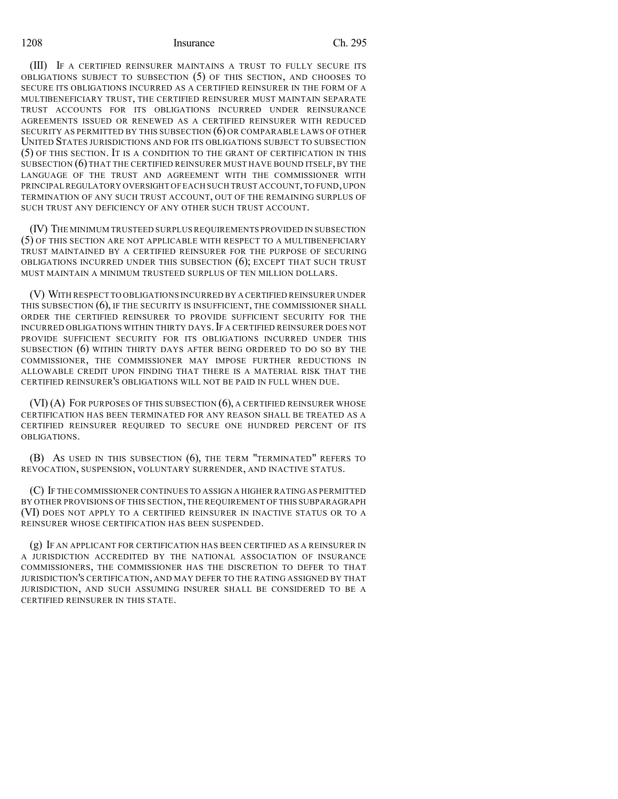(III) IF A CERTIFIED REINSURER MAINTAINS A TRUST TO FULLY SECURE ITS OBLIGATIONS SUBJECT TO SUBSECTION (5) OF THIS SECTION, AND CHOOSES TO SECURE ITS OBLIGATIONS INCURRED AS A CERTIFIED REINSURER IN THE FORM OF A MULTIBENEFICIARY TRUST, THE CERTIFIED REINSURER MUST MAINTAIN SEPARATE TRUST ACCOUNTS FOR ITS OBLIGATIONS INCURRED UNDER REINSURANCE AGREEMENTS ISSUED OR RENEWED AS A CERTIFIED REINSURER WITH REDUCED SECURITY AS PERMITTED BY THIS SUBSECTION (6) OR COMPARABLE LAWS OF OTHER UNITED STATES JURISDICTIONS AND FOR ITS OBLIGATIONS SUBJECT TO SUBSECTION (5) OF THIS SECTION. IT IS A CONDITION TO THE GRANT OF CERTIFICATION IN THIS SUBSECTION (6) THAT THE CERTIFIED REINSURER MUST HAVE BOUND ITSELF, BY THE LANGUAGE OF THE TRUST AND AGREEMENT WITH THE COMMISSIONER WITH PRINCIPAL REGULATORY OVERSIGHT OF EACH SUCH TRUST ACCOUNT, TO FUND, UPON TERMINATION OF ANY SUCH TRUST ACCOUNT, OUT OF THE REMAINING SURPLUS OF SUCH TRUST ANY DEFICIENCY OF ANY OTHER SUCH TRUST ACCOUNT.

(IV) THE MINIMUM TRUSTEED SURPLUS REQUIREMENTS PROVIDED IN SUBSECTION (5) OF THIS SECTION ARE NOT APPLICABLE WITH RESPECT TO A MULTIBENEFICIARY TRUST MAINTAINED BY A CERTIFIED REINSURER FOR THE PURPOSE OF SECURING OBLIGATIONS INCURRED UNDER THIS SUBSECTION (6); EXCEPT THAT SUCH TRUST MUST MAINTAIN A MINIMUM TRUSTEED SURPLUS OF TEN MILLION DOLLARS.

(V) WITH RESPECT TO OBLIGATIONS INCURRED BY A CERTIFIED REINSURER UNDER THIS SUBSECTION (6), IF THE SECURITY IS INSUFFICIENT, THE COMMISSIONER SHALL ORDER THE CERTIFIED REINSURER TO PROVIDE SUFFICIENT SECURITY FOR THE INCURRED OBLIGATIONS WITHIN THIRTY DAYS.IF A CERTIFIED REINSURER DOES NOT PROVIDE SUFFICIENT SECURITY FOR ITS OBLIGATIONS INCURRED UNDER THIS SUBSECTION (6) WITHIN THIRTY DAYS AFTER BEING ORDERED TO DO SO BY THE COMMISSIONER, THE COMMISSIONER MAY IMPOSE FURTHER REDUCTIONS IN ALLOWABLE CREDIT UPON FINDING THAT THERE IS A MATERIAL RISK THAT THE CERTIFIED REINSURER'S OBLIGATIONS WILL NOT BE PAID IN FULL WHEN DUE.

(VI) (A) FOR PURPOSES OF THIS SUBSECTION (6), A CERTIFIED REINSURER WHOSE CERTIFICATION HAS BEEN TERMINATED FOR ANY REASON SHALL BE TREATED AS A CERTIFIED REINSURER REQUIRED TO SECURE ONE HUNDRED PERCENT OF ITS OBLIGATIONS.

(B) AS USED IN THIS SUBSECTION (6), THE TERM "TERMINATED" REFERS TO REVOCATION, SUSPENSION, VOLUNTARY SURRENDER, AND INACTIVE STATUS.

(C) IF THE COMMISSIONER CONTINUES TO ASSIGN A HIGHER RATINGAS PERMITTED BY OTHER PROVISIONS OF THIS SECTION,THE REQUIREMENT OF THIS SUBPARAGRAPH (VI) DOES NOT APPLY TO A CERTIFIED REINSURER IN INACTIVE STATUS OR TO A REINSURER WHOSE CERTIFICATION HAS BEEN SUSPENDED.

(g) IF AN APPLICANT FOR CERTIFICATION HAS BEEN CERTIFIED AS A REINSURER IN A JURISDICTION ACCREDITED BY THE NATIONAL ASSOCIATION OF INSURANCE COMMISSIONERS, THE COMMISSIONER HAS THE DISCRETION TO DEFER TO THAT JURISDICTION'S CERTIFICATION, AND MAY DEFER TO THE RATING ASSIGNED BY THAT JURISDICTION, AND SUCH ASSUMING INSURER SHALL BE CONSIDERED TO BE A CERTIFIED REINSURER IN THIS STATE.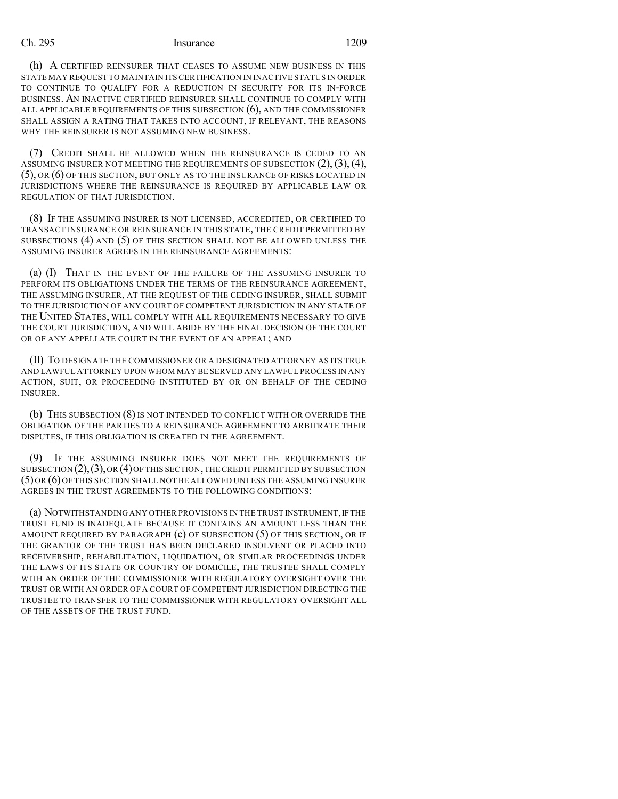(h) A CERTIFIED REINSURER THAT CEASES TO ASSUME NEW BUSINESS IN THIS STATE MAY REQUEST TO MAINTAIN ITS CERTIFICATION IN INACTIVE STATUS IN ORDER TO CONTINUE TO QUALIFY FOR A REDUCTION IN SECURITY FOR ITS IN-FORCE BUSINESS. AN INACTIVE CERTIFIED REINSURER SHALL CONTINUE TO COMPLY WITH ALL APPLICABLE REQUIREMENTS OF THIS SUBSECTION (6), AND THE COMMISSIONER SHALL ASSIGN A RATING THAT TAKES INTO ACCOUNT, IF RELEVANT, THE REASONS WHY THE REINSURER IS NOT ASSUMING NEW BUSINESS.

(7) CREDIT SHALL BE ALLOWED WHEN THE REINSURANCE IS CEDED TO AN ASSUMING INSURER NOT MEETING THE REQUIREMENTS OF SUBSECTION  $(2), (3), (4),$ (5), OR (6) OF THIS SECTION, BUT ONLY AS TO THE INSURANCE OF RISKS LOCATED IN JURISDICTIONS WHERE THE REINSURANCE IS REQUIRED BY APPLICABLE LAW OR REGULATION OF THAT JURISDICTION.

(8) IF THE ASSUMING INSURER IS NOT LICENSED, ACCREDITED, OR CERTIFIED TO TRANSACT INSURANCE OR REINSURANCE IN THIS STATE, THE CREDIT PERMITTED BY SUBSECTIONS (4) AND (5) OF THIS SECTION SHALL NOT BE ALLOWED UNLESS THE ASSUMING INSURER AGREES IN THE REINSURANCE AGREEMENTS:

(a) (I) THAT IN THE EVENT OF THE FAILURE OF THE ASSUMING INSURER TO PERFORM ITS OBLIGATIONS UNDER THE TERMS OF THE REINSURANCE AGREEMENT, THE ASSUMING INSURER, AT THE REQUEST OF THE CEDING INSURER, SHALL SUBMIT TO THE JURISDICTION OF ANY COURT OF COMPETENT JURISDICTION IN ANY STATE OF THE UNITED STATES, WILL COMPLY WITH ALL REQUIREMENTS NECESSARY TO GIVE THE COURT JURISDICTION, AND WILL ABIDE BY THE FINAL DECISION OF THE COURT OR OF ANY APPELLATE COURT IN THE EVENT OF AN APPEAL; AND

(II) TO DESIGNATE THE COMMISSIONER OR A DESIGNATED ATTORNEY AS ITS TRUE AND LAWFUL ATTORNEY UPON WHOM MAY BE SERVED ANY LAWFUL PROCESS IN ANY ACTION, SUIT, OR PROCEEDING INSTITUTED BY OR ON BEHALF OF THE CEDING INSURER.

(b) THIS SUBSECTION (8) IS NOT INTENDED TO CONFLICT WITH OR OVERRIDE THE OBLIGATION OF THE PARTIES TO A REINSURANCE AGREEMENT TO ARBITRATE THEIR DISPUTES, IF THIS OBLIGATION IS CREATED IN THE AGREEMENT.

(9) IF THE ASSUMING INSURER DOES NOT MEET THE REQUIREMENTS OF SUBSECTION  $(2)$ ,  $(3)$ , OR  $(4)$  OF THIS SECTION, THE CREDIT PERMITTED BY SUBSECTION (5) OR (6) OF THIS SECTION SHALL NOT BE ALLOWED UNLESS THE ASSUMING INSURER AGREES IN THE TRUST AGREEMENTS TO THE FOLLOWING CONDITIONS:

(a) NOTWITHSTANDING ANY OTHER PROVISIONS IN THE TRUST INSTRUMENT, IF THE TRUST FUND IS INADEQUATE BECAUSE IT CONTAINS AN AMOUNT LESS THAN THE AMOUNT REQUIRED BY PARAGRAPH (c) OF SUBSECTION (5) OF THIS SECTION, OR IF THE GRANTOR OF THE TRUST HAS BEEN DECLARED INSOLVENT OR PLACED INTO RECEIVERSHIP, REHABILITATION, LIQUIDATION, OR SIMILAR PROCEEDINGS UNDER THE LAWS OF ITS STATE OR COUNTRY OF DOMICILE, THE TRUSTEE SHALL COMPLY WITH AN ORDER OF THE COMMISSIONER WITH REGULATORY OVERSIGHT OVER THE TRUST OR WITH AN ORDER OF A COURT OF COMPETENT JURISDICTION DIRECTING THE TRUSTEE TO TRANSFER TO THE COMMISSIONER WITH REGULATORY OVERSIGHT ALL OF THE ASSETS OF THE TRUST FUND.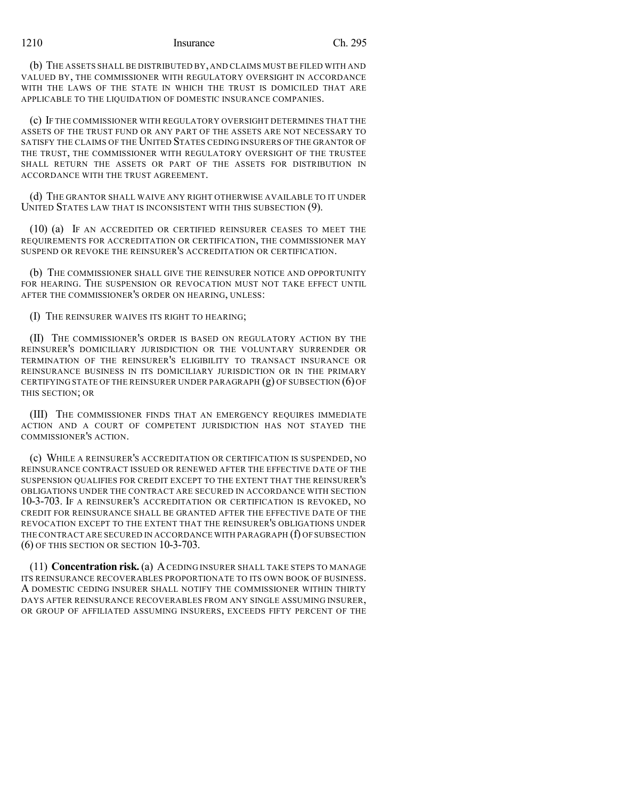(b) THE ASSETS SHALL BE DISTRIBUTED BY, AND CLAIMS MUST BE FILED WITH AND VALUED BY, THE COMMISSIONER WITH REGULATORY OVERSIGHT IN ACCORDANCE WITH THE LAWS OF THE STATE IN WHICH THE TRUST IS DOMICILED THAT ARE APPLICABLE TO THE LIQUIDATION OF DOMESTIC INSURANCE COMPANIES.

(c) IF THE COMMISSIONER WITH REGULATORY OVERSIGHT DETERMINES THAT THE ASSETS OF THE TRUST FUND OR ANY PART OF THE ASSETS ARE NOT NECESSARY TO SATISFY THE CLAIMS OF THE UNITED STATES CEDING INSURERS OF THE GRANTOR OF THE TRUST, THE COMMISSIONER WITH REGULATORY OVERSIGHT OF THE TRUSTEE SHALL RETURN THE ASSETS OR PART OF THE ASSETS FOR DISTRIBUTION IN ACCORDANCE WITH THE TRUST AGREEMENT.

(d) THE GRANTOR SHALL WAIVE ANY RIGHT OTHERWISE AVAILABLE TO IT UNDER UNITED STATES LAW THAT IS INCONSISTENT WITH THIS SUBSECTION (9).

(10) (a) IF AN ACCREDITED OR CERTIFIED REINSURER CEASES TO MEET THE REQUIREMENTS FOR ACCREDITATION OR CERTIFICATION, THE COMMISSIONER MAY SUSPEND OR REVOKE THE REINSURER'S ACCREDITATION OR CERTIFICATION.

(b) THE COMMISSIONER SHALL GIVE THE REINSURER NOTICE AND OPPORTUNITY FOR HEARING. THE SUSPENSION OR REVOCATION MUST NOT TAKE EFFECT UNTIL AFTER THE COMMISSIONER'S ORDER ON HEARING, UNLESS:

(I) THE REINSURER WAIVES ITS RIGHT TO HEARING;

(II) THE COMMISSIONER'S ORDER IS BASED ON REGULATORY ACTION BY THE REINSURER'S DOMICILIARY JURISDICTION OR THE VOLUNTARY SURRENDER OR TERMINATION OF THE REINSURER'S ELIGIBILITY TO TRANSACT INSURANCE OR REINSURANCE BUSINESS IN ITS DOMICILIARY JURISDICTION OR IN THE PRIMARY CERTIFYING STATE OF THE REINSURER UNDER PARAGRAPH  $(g)$  OF SUBSECTION  $(6)$  OF THIS SECTION; OR

(III) THE COMMISSIONER FINDS THAT AN EMERGENCY REQUIRES IMMEDIATE ACTION AND A COURT OF COMPETENT JURISDICTION HAS NOT STAYED THE COMMISSIONER'S ACTION.

(c) WHILE A REINSURER'S ACCREDITATION OR CERTIFICATION IS SUSPENDED, NO REINSURANCE CONTRACT ISSUED OR RENEWED AFTER THE EFFECTIVE DATE OF THE SUSPENSION QUALIFIES FOR CREDIT EXCEPT TO THE EXTENT THAT THE REINSURER'S OBLIGATIONS UNDER THE CONTRACT ARE SECURED IN ACCORDANCE WITH SECTION 10-3-703. IF A REINSURER'S ACCREDITATION OR CERTIFICATION IS REVOKED, NO CREDIT FOR REINSURANCE SHALL BE GRANTED AFTER THE EFFECTIVE DATE OF THE REVOCATION EXCEPT TO THE EXTENT THAT THE REINSURER'S OBLIGATIONS UNDER THE CONTRACT ARE SECURED IN ACCORDANCE WITH PARAGRAPH (f) OFSUBSECTION (6) OF THIS SECTION OR SECTION 10-3-703.

(11) **Concentration risk.** (a) ACEDING INSURER SHALL TAKE STEPS TO MANAGE ITS REINSURANCE RECOVERABLES PROPORTIONATE TO ITS OWN BOOK OF BUSINESS. A DOMESTIC CEDING INSURER SHALL NOTIFY THE COMMISSIONER WITHIN THIRTY DAYS AFTER REINSURANCE RECOVERABLES FROM ANY SINGLE ASSUMING INSURER, OR GROUP OF AFFILIATED ASSUMING INSURERS, EXCEEDS FIFTY PERCENT OF THE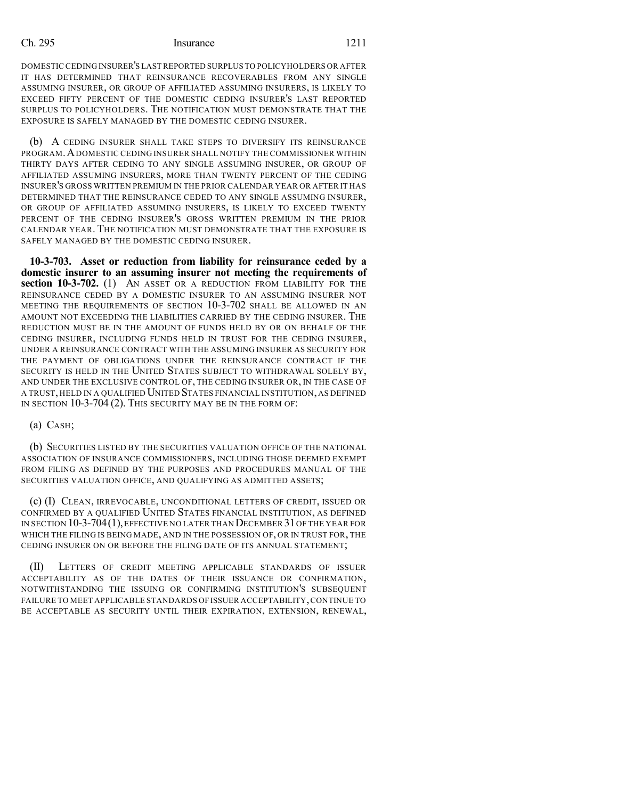DOMESTIC CEDING INSURER'S LAST REPORTED SURPLUS TO POLICYHOLDERS OR AFTER IT HAS DETERMINED THAT REINSURANCE RECOVERABLES FROM ANY SINGLE ASSUMING INSURER, OR GROUP OF AFFILIATED ASSUMING INSURERS, IS LIKELY TO EXCEED FIFTY PERCENT OF THE DOMESTIC CEDING INSURER'S LAST REPORTED SURPLUS TO POLICYHOLDERS. THE NOTIFICATION MUST DEMONSTRATE THAT THE EXPOSURE IS SAFELY MANAGED BY THE DOMESTIC CEDING INSURER.

(b) A CEDING INSURER SHALL TAKE STEPS TO DIVERSIFY ITS REINSURANCE PROGRAM.ADOMESTIC CEDING INSURER SHALL NOTIFY THE COMMISSIONER WITHIN THIRTY DAYS AFTER CEDING TO ANY SINGLE ASSUMING INSURER, OR GROUP OF AFFILIATED ASSUMING INSURERS, MORE THAN TWENTY PERCENT OF THE CEDING INSURER'S GROSS WRITTEN PREMIUM IN THE PRIOR CALENDAR YEAR OR AFTER IT HAS DETERMINED THAT THE REINSURANCE CEDED TO ANY SINGLE ASSUMING INSURER, OR GROUP OF AFFILIATED ASSUMING INSURERS, IS LIKELY TO EXCEED TWENTY PERCENT OF THE CEDING INSURER'S GROSS WRITTEN PREMIUM IN THE PRIOR CALENDAR YEAR. THE NOTIFICATION MUST DEMONSTRATE THAT THE EXPOSURE IS SAFELY MANAGED BY THE DOMESTIC CEDING INSURER.

**10-3-703. Asset or reduction from liability for reinsurance ceded by a domestic insurer to an assuming insurer not meeting the requirements of section 10-3-702.** (1) AN ASSET OR A REDUCTION FROM LIABILITY FOR THE REINSURANCE CEDED BY A DOMESTIC INSURER TO AN ASSUMING INSURER NOT MEETING THE REQUIREMENTS OF SECTION 10-3-702 SHALL BE ALLOWED IN AN AMOUNT NOT EXCEEDING THE LIABILITIES CARRIED BY THE CEDING INSURER. THE REDUCTION MUST BE IN THE AMOUNT OF FUNDS HELD BY OR ON BEHALF OF THE CEDING INSURER, INCLUDING FUNDS HELD IN TRUST FOR THE CEDING INSURER, UNDER A REINSURANCE CONTRACT WITH THE ASSUMING INSURER AS SECURITY FOR THE PAYMENT OF OBLIGATIONS UNDER THE REINSURANCE CONTRACT IF THE SECURITY IS HELD IN THE UNITED STATES SUBJECT TO WITHDRAWAL SOLELY BY, AND UNDER THE EXCLUSIVE CONTROL OF, THE CEDING INSURER OR, IN THE CASE OF A TRUST, HELD IN A QUALIFIED UNITED STATES FINANCIAL INSTITUTION, AS DEFINED IN SECTION 10-3-704 (2). THIS SECURITY MAY BE IN THE FORM OF:

#### (a) CASH;

(b) SECURITIES LISTED BY THE SECURITIES VALUATION OFFICE OF THE NATIONAL ASSOCIATION OF INSURANCE COMMISSIONERS, INCLUDING THOSE DEEMED EXEMPT FROM FILING AS DEFINED BY THE PURPOSES AND PROCEDURES MANUAL OF THE SECURITIES VALUATION OFFICE, AND QUALIFYING AS ADMITTED ASSETS;

(c) (I) CLEAN, IRREVOCABLE, UNCONDITIONAL LETTERS OF CREDIT, ISSUED OR CONFIRMED BY A QUALIFIED UNITED STATES FINANCIAL INSTITUTION, AS DEFINED IN SECTION 10-3-704(1),EFFECTIVE NO LATER THAN DECEMBER 31OF THE YEAR FOR WHICH THE FILING IS BEING MADE, AND IN THE POSSESSION OF, OR IN TRUST FOR, THE CEDING INSURER ON OR BEFORE THE FILING DATE OF ITS ANNUAL STATEMENT;

(II) LETTERS OF CREDIT MEETING APPLICABLE STANDARDS OF ISSUER ACCEPTABILITY AS OF THE DATES OF THEIR ISSUANCE OR CONFIRMATION, NOTWITHSTANDING THE ISSUING OR CONFIRMING INSTITUTION'S SUBSEQUENT FAILURE TO MEET APPLICABLE STANDARDS OF ISSUER ACCEPTABILITY,CONTINUE TO BE ACCEPTABLE AS SECURITY UNTIL THEIR EXPIRATION, EXTENSION, RENEWAL,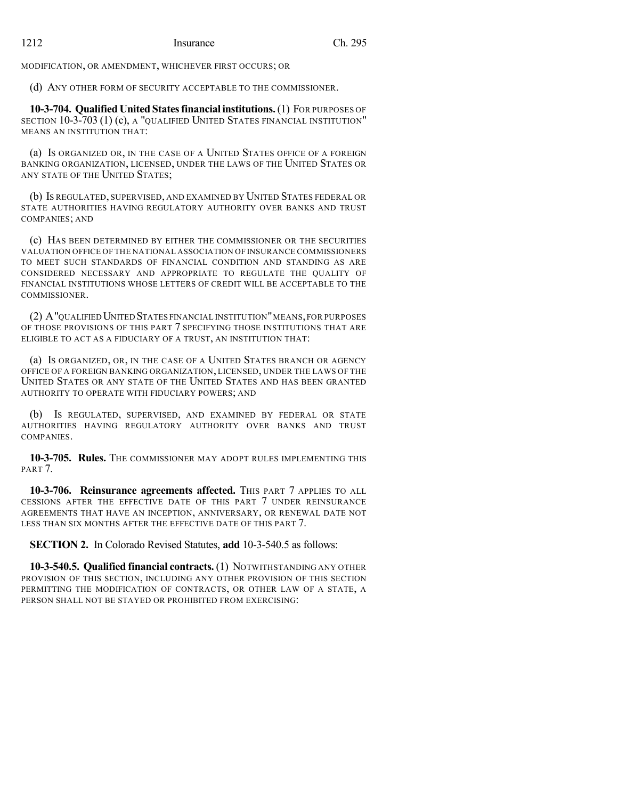MODIFICATION, OR AMENDMENT, WHICHEVER FIRST OCCURS; OR

(d) ANY OTHER FORM OF SECURITY ACCEPTABLE TO THE COMMISSIONER.

**10-3-704. Qualified United Statesfinancial institutions.**(1) FOR PURPOSES OF SECTION 10-3-703 (1) (c), A "QUALIFIED UNITED STATES FINANCIAL INSTITUTION" MEANS AN INSTITUTION THAT:

(a) IS ORGANIZED OR, IN THE CASE OF A UNITED STATES OFFICE OF A FOREIGN BANKING ORGANIZATION, LICENSED, UNDER THE LAWS OF THE UNITED STATES OR ANY STATE OF THE UNITED STATES;

(b) IS REGULATED, SUPERVISED, AND EXAMINED BY UNITED STATES FEDERAL OR STATE AUTHORITIES HAVING REGULATORY AUTHORITY OVER BANKS AND TRUST COMPANIES; AND

(c) HAS BEEN DETERMINED BY EITHER THE COMMISSIONER OR THE SECURITIES VALUATION OFFICE OF THE NATIONAL ASSOCIATION OF INSURANCE COMMISSIONERS TO MEET SUCH STANDARDS OF FINANCIAL CONDITION AND STANDING AS ARE CONSIDERED NECESSARY AND APPROPRIATE TO REGULATE THE QUALITY OF FINANCIAL INSTITUTIONS WHOSE LETTERS OF CREDIT WILL BE ACCEPTABLE TO THE COMMISSIONER.

(2) A"QUALIFIED UNITED STATES FINANCIAL INSTITUTION"MEANS,FOR PURPOSES OF THOSE PROVISIONS OF THIS PART 7 SPECIFYING THOSE INSTITUTIONS THAT ARE ELIGIBLE TO ACT AS A FIDUCIARY OF A TRUST, AN INSTITUTION THAT:

(a) IS ORGANIZED, OR, IN THE CASE OF A UNITED STATES BRANCH OR AGENCY OFFICE OF A FOREIGN BANKING ORGANIZATION, LICENSED, UNDER THE LAWS OF THE UNITED STATES OR ANY STATE OF THE UNITED STATES AND HAS BEEN GRANTED AUTHORITY TO OPERATE WITH FIDUCIARY POWERS; AND

(b) IS REGULATED, SUPERVISED, AND EXAMINED BY FEDERAL OR STATE AUTHORITIES HAVING REGULATORY AUTHORITY OVER BANKS AND TRUST COMPANIES.

**10-3-705. Rules.** THE COMMISSIONER MAY ADOPT RULES IMPLEMENTING THIS PART<sub>7</sub>.

**10-3-706. Reinsurance agreements affected.** THIS PART 7 APPLIES TO ALL CESSIONS AFTER THE EFFECTIVE DATE OF THIS PART 7 UNDER REINSURANCE AGREEMENTS THAT HAVE AN INCEPTION, ANNIVERSARY, OR RENEWAL DATE NOT LESS THAN SIX MONTHS AFTER THE EFFECTIVE DATE OF THIS PART 7.

**SECTION 2.** In Colorado Revised Statutes, **add** 10-3-540.5 as follows:

**10-3-540.5. Qualified financial contracts.** (1) NOTWITHSTANDING ANY OTHER PROVISION OF THIS SECTION, INCLUDING ANY OTHER PROVISION OF THIS SECTION PERMITTING THE MODIFICATION OF CONTRACTS, OR OTHER LAW OF A STATE, A PERSON SHALL NOT BE STAYED OR PROHIBITED FROM EXERCISING: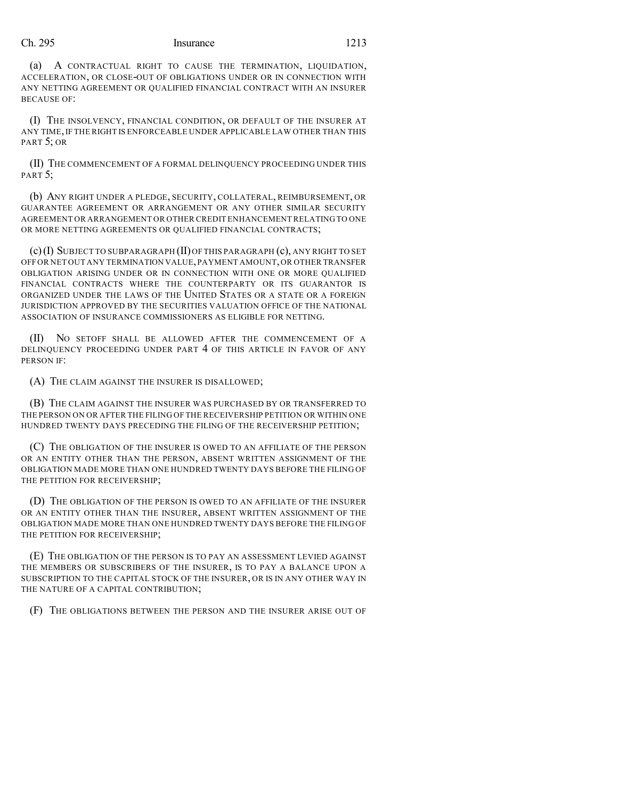(a) A CONTRACTUAL RIGHT TO CAUSE THE TERMINATION, LIQUIDATION, ACCELERATION, OR CLOSE-OUT OF OBLIGATIONS UNDER OR IN CONNECTION WITH ANY NETTING AGREEMENT OR QUALIFIED FINANCIAL CONTRACT WITH AN INSURER BECAUSE OF:

(I) THE INSOLVENCY, FINANCIAL CONDITION, OR DEFAULT OF THE INSURER AT ANY TIME,IF THE RIGHT IS ENFORCEABLE UNDER APPLICABLE LAW OTHER THAN THIS PART 5; OR

(II) THE COMMENCEMENT OF A FORMAL DELINQUENCY PROCEEDING UNDER THIS PART<sub>5</sub>:

(b) ANY RIGHT UNDER A PLEDGE, SECURITY, COLLATERAL, REIMBURSEMENT, OR GUARANTEE AGREEMENT OR ARRANGEMENT OR ANY OTHER SIMILAR SECURITY AGREEMENT OR ARRANGEMENT OR OTHER CREDIT ENHANCEMENTRELATING TO ONE OR MORE NETTING AGREEMENTS OR QUALIFIED FINANCIAL CONTRACTS;

(c)(I) SUBJECT TO SUBPARAGRAPH (II)OF THIS PARAGRAPH (c), ANY RIGHT TO SET OFF OR NET OUT ANY TERMINATION VALUE,PAYMENT AMOUNT,OR OTHER TRANSFER OBLIGATION ARISING UNDER OR IN CONNECTION WITH ONE OR MORE QUALIFIED FINANCIAL CONTRACTS WHERE THE COUNTERPARTY OR ITS GUARANTOR IS ORGANIZED UNDER THE LAWS OF THE UNITED STATES OR A STATE OR A FOREIGN JURISDICTION APPROVED BY THE SECURITIES VALUATION OFFICE OF THE NATIONAL ASSOCIATION OF INSURANCE COMMISSIONERS AS ELIGIBLE FOR NETTING.

(II) NO SETOFF SHALL BE ALLOWED AFTER THE COMMENCEMENT OF A DELINQUENCY PROCEEDING UNDER PART 4 OF THIS ARTICLE IN FAVOR OF ANY PERSON IF:

(A) THE CLAIM AGAINST THE INSURER IS DISALLOWED;

(B) THE CLAIM AGAINST THE INSURER WAS PURCHASED BY OR TRANSFERRED TO THE PERSON ON OR AFTER THE FILING OF THE RECEIVERSHIP PETITION OR WITHIN ONE HUNDRED TWENTY DAYS PRECEDING THE FILING OF THE RECEIVERSHIP PETITION;

(C) THE OBLIGATION OF THE INSURER IS OWED TO AN AFFILIATE OF THE PERSON OR AN ENTITY OTHER THAN THE PERSON, ABSENT WRITTEN ASSIGNMENT OF THE OBLIGATION MADE MORE THAN ONE HUNDRED TWENTY DAYS BEFORE THE FILING OF THE PETITION FOR RECEIVERSHIP;

(D) THE OBLIGATION OF THE PERSON IS OWED TO AN AFFILIATE OF THE INSURER OR AN ENTITY OTHER THAN THE INSURER, ABSENT WRITTEN ASSIGNMENT OF THE OBLIGATION MADE MORE THAN ONE HUNDRED TWENTY DAYS BEFORE THE FILING OF THE PETITION FOR RECEIVERSHIP;

(E) THE OBLIGATION OF THE PERSON IS TO PAY AN ASSESSMENT LEVIED AGAINST THE MEMBERS OR SUBSCRIBERS OF THE INSURER, IS TO PAY A BALANCE UPON A SUBSCRIPTION TO THE CAPITAL STOCK OF THE INSURER, OR IS IN ANY OTHER WAY IN THE NATURE OF A CAPITAL CONTRIBUTION;

(F) THE OBLIGATIONS BETWEEN THE PERSON AND THE INSURER ARISE OUT OF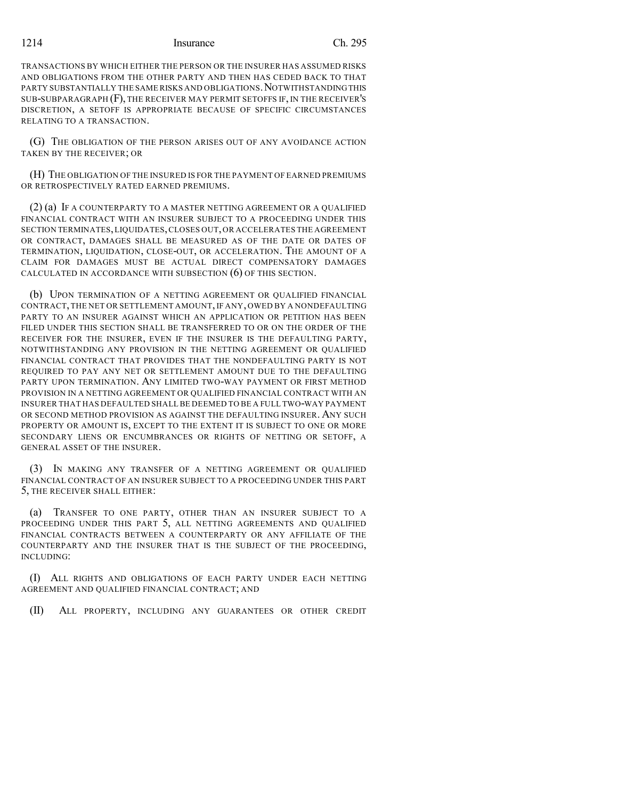TRANSACTIONS BY WHICH EITHER THE PERSON OR THE INSURER HAS ASSUMED RISKS AND OBLIGATIONS FROM THE OTHER PARTY AND THEN HAS CEDED BACK TO THAT PARTY SUBSTANTIALLY THE SAME RISKS AND OBLIGATIONS. NOTWITHSTANDING THIS SUB-SUBPARAGRAPH (F), THE RECEIVER MAY PERMIT SETOFFS IF, IN THE RECEIVER'S DISCRETION, A SETOFF IS APPROPRIATE BECAUSE OF SPECIFIC CIRCUMSTANCES RELATING TO A TRANSACTION.

(G) THE OBLIGATION OF THE PERSON ARISES OUT OF ANY AVOIDANCE ACTION TAKEN BY THE RECEIVER; OR

(H) THE OBLIGATION OF THE INSURED IS FOR THE PAYMENT OF EARNED PREMIUMS OR RETROSPECTIVELY RATED EARNED PREMIUMS.

(2) (a) IF A COUNTERPARTY TO A MASTER NETTING AGREEMENT OR A QUALIFIED FINANCIAL CONTRACT WITH AN INSURER SUBJECT TO A PROCEEDING UNDER THIS SECTION TERMINATES,LIQUIDATES,CLOSES OUT,OR ACCELERATES THE AGREEMENT OR CONTRACT, DAMAGES SHALL BE MEASURED AS OF THE DATE OR DATES OF TERMINATION, LIQUIDATION, CLOSE-OUT, OR ACCELERATION. THE AMOUNT OF A CLAIM FOR DAMAGES MUST BE ACTUAL DIRECT COMPENSATORY DAMAGES CALCULATED IN ACCORDANCE WITH SUBSECTION (6) OF THIS SECTION.

(b) UPON TERMINATION OF A NETTING AGREEMENT OR QUALIFIED FINANCIAL CONTRACT,THE NET OR SETTLEMENT AMOUNT, IF ANY, OWED BY A NONDEFAULTING PARTY TO AN INSURER AGAINST WHICH AN APPLICATION OR PETITION HAS BEEN FILED UNDER THIS SECTION SHALL BE TRANSFERRED TO OR ON THE ORDER OF THE RECEIVER FOR THE INSURER, EVEN IF THE INSURER IS THE DEFAULTING PARTY, NOTWITHSTANDING ANY PROVISION IN THE NETTING AGREEMENT OR QUALIFIED FINANCIAL CONTRACT THAT PROVIDES THAT THE NONDEFAULTING PARTY IS NOT REQUIRED TO PAY ANY NET OR SETTLEMENT AMOUNT DUE TO THE DEFAULTING PARTY UPON TERMINATION. ANY LIMITED TWO-WAY PAYMENT OR FIRST METHOD PROVISION IN A NETTING AGREEMENT OR QUALIFIED FINANCIAL CONTRACT WITH AN INSURER THAT HAS DEFAULTED SHALLBE DEEMED TO BE A FULL TWO-WAY PAYMENT OR SECOND METHOD PROVISION AS AGAINST THE DEFAULTING INSURER. ANY SUCH PROPERTY OR AMOUNT IS, EXCEPT TO THE EXTENT IT IS SUBJECT TO ONE OR MORE SECONDARY LIENS OR ENCUMBRANCES OR RIGHTS OF NETTING OR SETOFF, A GENERAL ASSET OF THE INSURER.

(3) IN MAKING ANY TRANSFER OF A NETTING AGREEMENT OR QUALIFIED FINANCIAL CONTRACT OF AN INSURER SUBJECT TO A PROCEEDING UNDER THIS PART 5, THE RECEIVER SHALL EITHER:

(a) TRANSFER TO ONE PARTY, OTHER THAN AN INSURER SUBJECT TO A PROCEEDING UNDER THIS PART 5, ALL NETTING AGREEMENTS AND QUALIFIED FINANCIAL CONTRACTS BETWEEN A COUNTERPARTY OR ANY AFFILIATE OF THE COUNTERPARTY AND THE INSURER THAT IS THE SUBJECT OF THE PROCEEDING, INCLUDING:

(I) ALL RIGHTS AND OBLIGATIONS OF EACH PARTY UNDER EACH NETTING AGREEMENT AND QUALIFIED FINANCIAL CONTRACT; AND

(II) ALL PROPERTY, INCLUDING ANY GUARANTEES OR OTHER CREDIT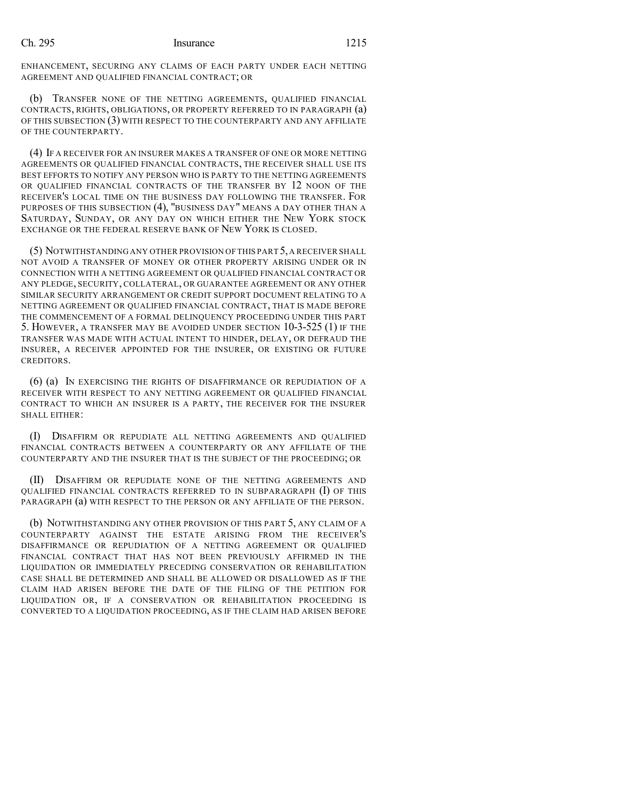ENHANCEMENT, SECURING ANY CLAIMS OF EACH PARTY UNDER EACH NETTING AGREEMENT AND QUALIFIED FINANCIAL CONTRACT; OR

(b) TRANSFER NONE OF THE NETTING AGREEMENTS, QUALIFIED FINANCIAL CONTRACTS, RIGHTS, OBLIGATIONS, OR PROPERTY REFERRED TO IN PARAGRAPH (a) OF THIS SUBSECTION (3) WITH RESPECT TO THE COUNTERPARTY AND ANY AFFILIATE OF THE COUNTERPARTY.

(4) IF A RECEIVER FOR AN INSURER MAKES A TRANSFER OF ONE OR MORE NETTING AGREEMENTS OR QUALIFIED FINANCIAL CONTRACTS, THE RECEIVER SHALL USE ITS BEST EFFORTS TO NOTIFY ANY PERSON WHO IS PARTY TO THE NETTING AGREEMENTS OR QUALIFIED FINANCIAL CONTRACTS OF THE TRANSFER BY 12 NOON OF THE RECEIVER'S LOCAL TIME ON THE BUSINESS DAY FOLLOWING THE TRANSFER. FOR PURPOSES OF THIS SUBSECTION (4), "BUSINESS DAY" MEANS A DAY OTHER THAN A SATURDAY, SUNDAY, OR ANY DAY ON WHICH EITHER THE NEW YORK STOCK EXCHANGE OR THE FEDERAL RESERVE BANK OF NEW YORK IS CLOSED.

(5) NOTWITHSTANDING ANY OTHER PROVISION OFTHIS PART 5,A RECEIVER SHALL NOT AVOID A TRANSFER OF MONEY OR OTHER PROPERTY ARISING UNDER OR IN CONNECTION WITH A NETTING AGREEMENT OR QUALIFIED FINANCIAL CONTRACT OR ANY PLEDGE, SECURITY, COLLATERAL, OR GUARANTEE AGREEMENT OR ANY OTHER SIMILAR SECURITY ARRANGEMENT OR CREDIT SUPPORT DOCUMENT RELATING TO A NETTING AGREEMENT OR QUALIFIED FINANCIAL CONTRACT, THAT IS MADE BEFORE THE COMMENCEMENT OF A FORMAL DELINQUENCY PROCEEDING UNDER THIS PART 5. HOWEVER, A TRANSFER MAY BE AVOIDED UNDER SECTION 10-3-525 (1) IF THE TRANSFER WAS MADE WITH ACTUAL INTENT TO HINDER, DELAY, OR DEFRAUD THE INSURER, A RECEIVER APPOINTED FOR THE INSURER, OR EXISTING OR FUTURE CREDITORS.

(6) (a) IN EXERCISING THE RIGHTS OF DISAFFIRMANCE OR REPUDIATION OF A RECEIVER WITH RESPECT TO ANY NETTING AGREEMENT OR QUALIFIED FINANCIAL CONTRACT TO WHICH AN INSURER IS A PARTY, THE RECEIVER FOR THE INSURER SHALL EITHER:

(I) DISAFFIRM OR REPUDIATE ALL NETTING AGREEMENTS AND QUALIFIED FINANCIAL CONTRACTS BETWEEN A COUNTERPARTY OR ANY AFFILIATE OF THE COUNTERPARTY AND THE INSURER THAT IS THE SUBJECT OF THE PROCEEDING; OR

(II) DISAFFIRM OR REPUDIATE NONE OF THE NETTING AGREEMENTS AND QUALIFIED FINANCIAL CONTRACTS REFERRED TO IN SUBPARAGRAPH (I) OF THIS PARAGRAPH (a) WITH RESPECT TO THE PERSON OR ANY AFFILIATE OF THE PERSON.

(b) NOTWITHSTANDING ANY OTHER PROVISION OF THIS PART 5, ANY CLAIM OF A COUNTERPARTY AGAINST THE ESTATE ARISING FROM THE RECEIVER'S DISAFFIRMANCE OR REPUDIATION OF A NETTING AGREEMENT OR QUALIFIED FINANCIAL CONTRACT THAT HAS NOT BEEN PREVIOUSLY AFFIRMED IN THE LIQUIDATION OR IMMEDIATELY PRECEDING CONSERVATION OR REHABILITATION CASE SHALL BE DETERMINED AND SHALL BE ALLOWED OR DISALLOWED AS IF THE CLAIM HAD ARISEN BEFORE THE DATE OF THE FILING OF THE PETITION FOR LIQUIDATION OR, IF A CONSERVATION OR REHABILITATION PROCEEDING IS CONVERTED TO A LIQUIDATION PROCEEDING, AS IF THE CLAIM HAD ARISEN BEFORE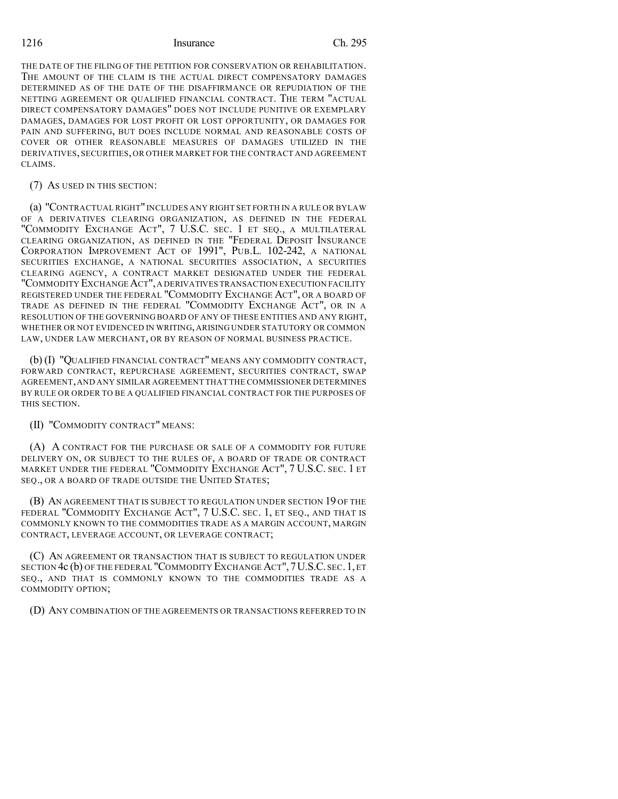THE DATE OF THE FILING OF THE PETITION FOR CONSERVATION OR REHABILITATION. THE AMOUNT OF THE CLAIM IS THE ACTUAL DIRECT COMPENSATORY DAMAGES DETERMINED AS OF THE DATE OF THE DISAFFIRMANCE OR REPUDIATION OF THE NETTING AGREEMENT OR QUALIFIED FINANCIAL CONTRACT. THE TERM "ACTUAL DIRECT COMPENSATORY DAMAGES" DOES NOT INCLUDE PUNITIVE OR EXEMPLARY DAMAGES, DAMAGES FOR LOST PROFIT OR LOST OPPORTUNITY, OR DAMAGES FOR PAIN AND SUFFERING, BUT DOES INCLUDE NORMAL AND REASONABLE COSTS OF COVER OR OTHER REASONABLE MEASURES OF DAMAGES UTILIZED IN THE DERIVATIVES, SECURITIES, OR OTHER MARKET FOR THE CONTRACT AND AGREEMENT CLAIMS.

#### (7) AS USED IN THIS SECTION:

(a) "CONTRACTUAL RIGHT" INCLUDES ANY RIGHT SET FORTH IN A RULE OR BYLAW OF A DERIVATIVES CLEARING ORGANIZATION, AS DEFINED IN THE FEDERAL "COMMODITY EXCHANGE ACT", 7 U.S.C. SEC. 1 ET SEQ., A MULTILATERAL CLEARING ORGANIZATION, AS DEFINED IN THE "FEDERAL DEPOSIT INSURANCE CORPORATION IMPROVEMENT ACT OF 1991", PUB.L. 102-242, A NATIONAL SECURITIES EXCHANGE, A NATIONAL SECURITIES ASSOCIATION, A SECURITIES CLEARING AGENCY, A CONTRACT MARKET DESIGNATED UNDER THE FEDERAL "COMMODITY EXCHANGE ACT", A DERIVATIVES TRANSACTION EXECUTION FACILITY REGISTERED UNDER THE FEDERAL "COMMODITY EXCHANGE ACT", OR A BOARD OF TRADE AS DEFINED IN THE FEDERAL "COMMODITY EXCHANGE ACT", OR IN A RESOLUTION OF THE GOVERNING BOARD OF ANY OF THESE ENTITIES AND ANY RIGHT, WHETHER OR NOT EVIDENCED IN WRITING, ARISING UNDER STATUTORY OR COMMON LAW, UNDER LAW MERCHANT, OR BY REASON OF NORMAL BUSINESS PRACTICE.

(b) (I) "QUALIFIED FINANCIAL CONTRACT" MEANS ANY COMMODITY CONTRACT, FORWARD CONTRACT, REPURCHASE AGREEMENT, SECURITIES CONTRACT, SWAP AGREEMENT,AND ANY SIMILAR AGREEMENT THAT THE COMMISSIONER DETERMINES BY RULE OR ORDER TO BE A QUALIFIED FINANCIAL CONTRACT FOR THE PURPOSES OF THIS SECTION.

(II) "COMMODITY CONTRACT" MEANS:

(A) A CONTRACT FOR THE PURCHASE OR SALE OF A COMMODITY FOR FUTURE DELIVERY ON, OR SUBJECT TO THE RULES OF, A BOARD OF TRADE OR CONTRACT MARKET UNDER THE FEDERAL "COMMODITY EXCHANGE ACT", 7 U.S.C. SEC. 1 ET SEQ., OR A BOARD OF TRADE OUTSIDE THE UNITED STATES;

(B) AN AGREEMENT THAT IS SUBJECT TO REGULATION UNDER SECTION 19 OF THE FEDERAL "COMMODITY EXCHANGE ACT", 7 U.S.C. SEC. 1, ET SEQ., AND THAT IS COMMONLY KNOWN TO THE COMMODITIES TRADE AS A MARGIN ACCOUNT, MARGIN CONTRACT, LEVERAGE ACCOUNT, OR LEVERAGE CONTRACT;

(C) AN AGREEMENT OR TRANSACTION THAT IS SUBJECT TO REGULATION UNDER SECTION 4c (b) OF THE FEDERAL "COMMODITY EXCHANGE ACT",7U.S.C. SEC.1, ET SEQ., AND THAT IS COMMONLY KNOWN TO THE COMMODITIES TRADE AS A COMMODITY OPTION;

(D) ANY COMBINATION OF THE AGREEMENTS OR TRANSACTIONS REFERRED TO IN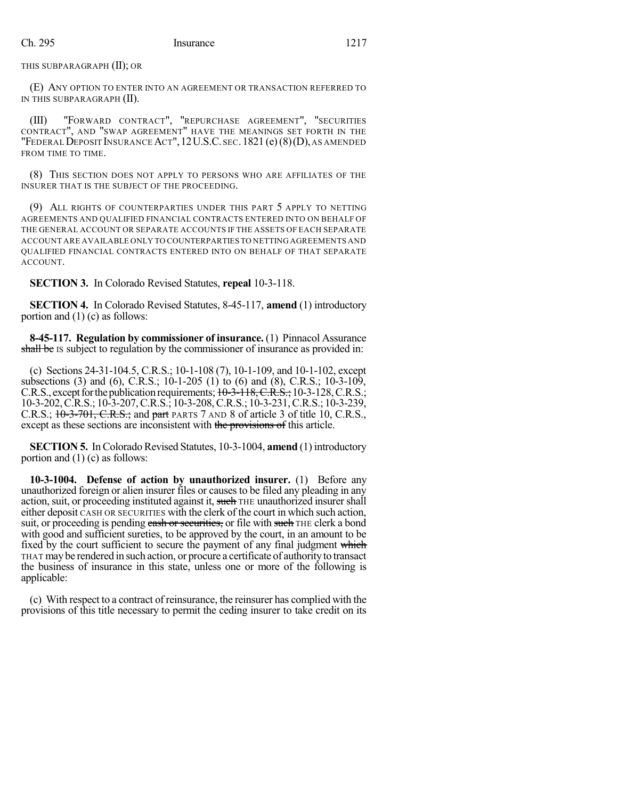THIS SUBPARAGRAPH (II); OR

(E) ANY OPTION TO ENTER INTO AN AGREEMENT OR TRANSACTION REFERRED TO IN THIS SUBPARAGRAPH (II).

(III) "FORWARD CONTRACT", "REPURCHASE AGREEMENT", "SECURITIES CONTRACT", AND "SWAP AGREEMENT" HAVE THE MEANINGS SET FORTH IN THE "FEDERALDEPOSIT INSURANCE ACT",12U.S.C. SEC.1821 (e)(8)(D), AS AMENDED FROM TIME TO TIME.

(8) THIS SECTION DOES NOT APPLY TO PERSONS WHO ARE AFFILIATES OF THE INSURER THAT IS THE SUBJECT OF THE PROCEEDING.

(9) ALL RIGHTS OF COUNTERPARTIES UNDER THIS PART 5 APPLY TO NETTING AGREEMENTS AND QUALIFIED FINANCIAL CONTRACTS ENTERED INTO ON BEHALF OF THE GENERAL ACCOUNT OR SEPARATE ACCOUNTS IF THE ASSETS OF EACH SEPARATE ACCOUNT ARE AVAILABLE ONLY TO COUNTERPARTIES TO NETTING AGREEMENTS AND QUALIFIED FINANCIAL CONTRACTS ENTERED INTO ON BEHALF OF THAT SEPARATE ACCOUNT.

**SECTION 3.** In Colorado Revised Statutes, **repeal** 10-3-118.

**SECTION 4.** In Colorado Revised Statutes, 8-45-117, **amend** (1) introductory portion and (1) (c) as follows:

**8-45-117. Regulation by commissioner of insurance.** (1) Pinnacol Assurance shall be IS subject to regulation by the commissioner of insurance as provided in:

(c) Sections 24-31-104.5, C.R.S.; 10-1-108 (7), 10-1-109, and 10-1-102, except subsections (3) and (6), C.R.S.; 10-1-205 (1) to (6) and (8), C.R.S.; 10-3-109, C.R.S., except for the publication requirements;  $10-3-118$ , C.R.S.; 10-3-128, C.R.S.; 10-3-202,C.R.S.; 10-3-207,C.R.S.; 10-3-208,C.R.S.; 10-3-231,C.R.S.; 10-3-239, C.R.S.; 10-3-701, C.R.S.; and part PARTS 7 AND 8 of article 3 of title 10, C.R.S., except as these sections are inconsistent with the provisions of this article.

**SECTION 5.** In Colorado Revised Statutes, 10-3-1004, **amend** (1) introductory portion and (1) (c) as follows:

**10-3-1004. Defense of action by unauthorized insurer.** (1) Before any unauthorized foreign or alien insurer files or causes to be filed any pleading in any action, suit, or proceeding instituted against it, such THE unauthorized insurer shall either deposit CASH OR SECURITIES with the clerk of the court in which such action, suit, or proceeding is pending eash or securities, or file with such THE clerk a bond with good and sufficient sureties, to be approved by the court, in an amount to be fixed by the court sufficient to secure the payment of any final judgment which THAT maybe rendered in such action, or procure a certificate of authorityto transact the business of insurance in this state, unless one or more of the following is applicable:

(c) With respect to a contract of reinsurance, the reinsurer has complied with the provisions of this title necessary to permit the ceding insurer to take credit on its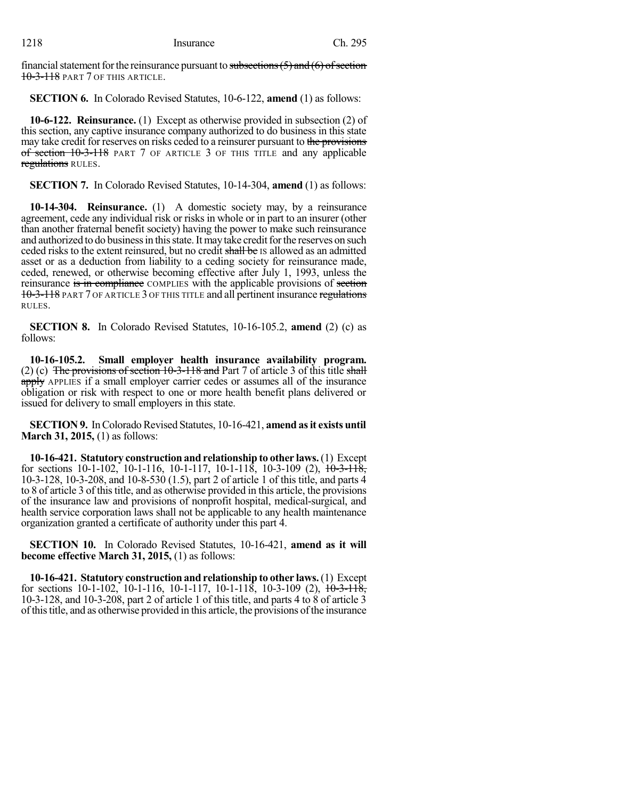financial statement for the reinsurance pursuant to subsections  $(5)$  and  $(6)$  of section 10-3-118 PART 7 OF THIS ARTICLE.

**SECTION 6.** In Colorado Revised Statutes, 10-6-122, **amend** (1) as follows:

**10-6-122. Reinsurance.** (1) Except as otherwise provided in subsection (2) of this section, any captive insurance company authorized to do business in this state may take credit for reserves on risks ceded to a reinsurer pursuant to the provisions of section 10-3-118 PART 7 OF ARTICLE 3 OF THIS TITLE and any applicable regulations RULES.

**SECTION 7.** In Colorado Revised Statutes, 10-14-304, **amend** (1) as follows:

**10-14-304. Reinsurance.** (1) A domestic society may, by a reinsurance agreement, cede any individual risk or risks in whole or in part to an insurer (other than another fraternal benefit society) having the power to make such reinsurance and authorized to do business in this state. It may take credit for the reserves on such ceded risks to the extent reinsured, but no credit shall be IS allowed as an admitted asset or as a deduction from liability to a ceding society for reinsurance made, ceded, renewed, or otherwise becoming effective after July 1, 1993, unless the reinsurance is in compliance COMPLIES with the applicable provisions of section 10-3-118 PART 7 OF ARTICLE 3 OF THIS TITLE and all pertinent insurance regulations RULES.

**SECTION 8.** In Colorado Revised Statutes, 10-16-105.2, **amend** (2) (c) as follows:

**10-16-105.2. Small employer health insurance availability program.** (2) (c) The provisions of section  $10-3-118$  and Part 7 of article 3 of this title shall apply APPLIES if a small employer carrier cedes or assumes all of the insurance obligation or risk with respect to one or more health benefit plans delivered or issued for delivery to small employers in this state.

**SECTION 9.** In Colorado Revised Statutes, 10-16-421, **amend as it exists until March 31, 2015,** (1) as follows:

**10-16-421. Statutory construction and relationship to other laws.**(1) Except for sections 10-1-102, 10-1-116, 10-1-117, 10-1-118, 10-3-109 (2), 10-3-118, 10-3-128, 10-3-208, and 10-8-530 (1.5), part 2 of article 1 of this title, and parts 4 to 8 of article 3 of this title, and as otherwise provided in this article, the provisions of the insurance law and provisions of nonprofit hospital, medical-surgical, and health service corporation laws shall not be applicable to any health maintenance organization granted a certificate of authority under this part 4.

**SECTION 10.** In Colorado Revised Statutes, 10-16-421, **amend as it will become effective March 31, 2015,** (1) as follows:

**10-16-421. Statutory construction and relationship to other laws.**(1) Except for sections 10-1-102, 10-1-116, 10-1-117, 10-1-118, 10-3-109 (2),  $\frac{10-3-118}{10}$ 10-3-128, and 10-3-208, part 2 of article 1 of this title, and parts 4 to 8 of article 3 ofthistitle, and as otherwise provided in this article, the provisions ofthe insurance